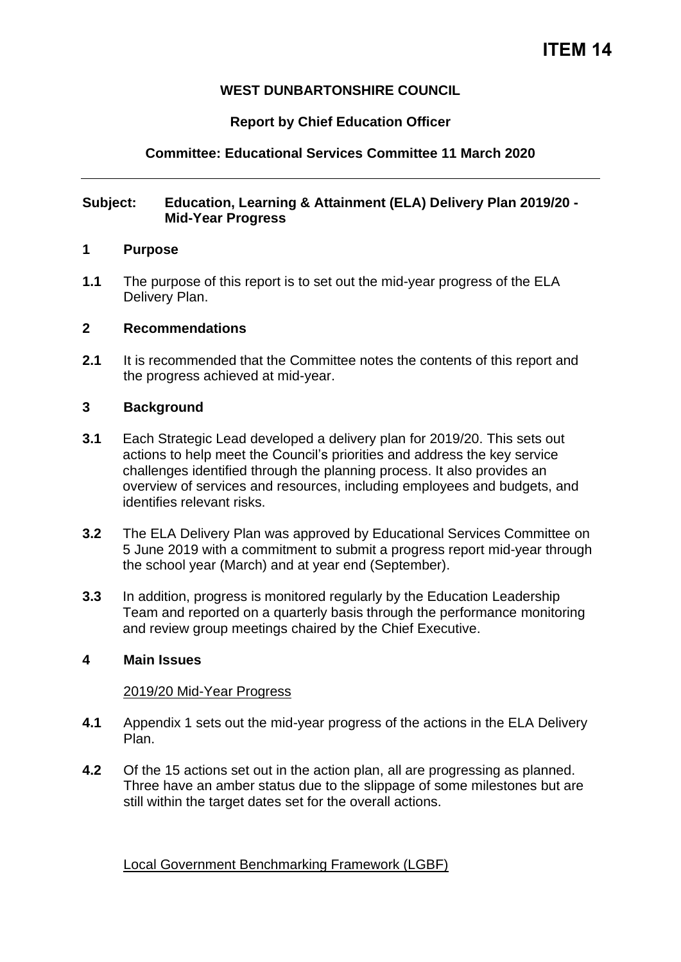# **WEST DUNBARTONSHIRE COUNCIL**

# **Report by Chief Education Officer**

# **Committee: Educational Services Committee 11 March 2020**

### **Subject: Education, Learning & Attainment (ELA) Delivery Plan 2019/20 - Mid-Year Progress**

#### **1 Purpose**

**1.1** The purpose of this report is to set out the mid-year progress of the ELA Delivery Plan.

### **2 Recommendations**

**2.1** It is recommended that the Committee notes the contents of this report and the progress achieved at mid-year.

### **3 Background**

- **3.1** Each Strategic Lead developed a delivery plan for 2019/20. This sets out actions to help meet the Council's priorities and address the key service challenges identified through the planning process. It also provides an overview of services and resources, including employees and budgets, and identifies relevant risks.
- **3.2** The ELA Delivery Plan was approved by Educational Services Committee on 5 June 2019 with a commitment to submit a progress report mid-year through the school year (March) and at year end (September).
- **3.3** In addition, progress is monitored regularly by the Education Leadership Team and reported on a quarterly basis through the performance monitoring and review group meetings chaired by the Chief Executive.

### **4 Main Issues**

#### 2019/20 Mid-Year Progress

- **4.1** Appendix 1 sets out the mid-year progress of the actions in the ELA Delivery Plan.
- **4.2** Of the 15 actions set out in the action plan, all are progressing as planned. Three have an amber status due to the slippage of some milestones but are still within the target dates set for the overall actions.

Local Government Benchmarking Framework (LGBF)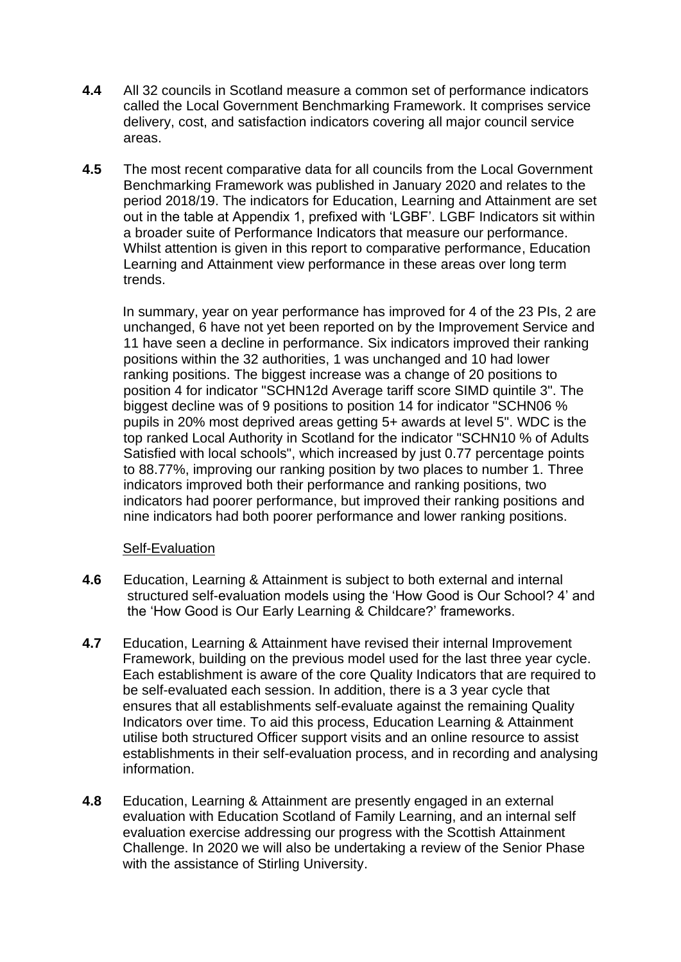- **4.4** All 32 councils in Scotland measure a common set of performance indicators called the Local Government Benchmarking Framework. It comprises service delivery, cost, and satisfaction indicators covering all major council service areas.
- **4.5** The most recent comparative data for all councils from the Local Government Benchmarking Framework was published in January 2020 and relates to the period 2018/19. The indicators for Education, Learning and Attainment are set out in the table at Appendix 1, prefixed with 'LGBF'. LGBF Indicators sit within a broader suite of Performance Indicators that measure our performance. Whilst attention is given in this report to comparative performance, Education Learning and Attainment view performance in these areas over long term trends.

In summary, year on year performance has improved for 4 of the 23 PIs, 2 are unchanged, 6 have not yet been reported on by the Improvement Service and 11 have seen a decline in performance. Six indicators improved their ranking positions within the 32 authorities, 1 was unchanged and 10 had lower ranking positions. The biggest increase was a change of 20 positions to position 4 for indicator "SCHN12d Average tariff score SIMD quintile 3". The biggest decline was of 9 positions to position 14 for indicator "SCHN06 % pupils in 20% most deprived areas getting 5+ awards at level 5". WDC is the top ranked Local Authority in Scotland for the indicator "SCHN10 % of Adults Satisfied with local schools", which increased by just 0.77 percentage points to 88.77%, improving our ranking position by two places to number 1. Three indicators improved both their performance and ranking positions, two indicators had poorer performance, but improved their ranking positions and nine indicators had both poorer performance and lower ranking positions.

### Self-Evaluation

- **4.6** Education, Learning & Attainment is subject to both external and internal structured self-evaluation models using the 'How Good is Our School? 4' and the 'How Good is Our Early Learning & Childcare?' frameworks.
- **4.7** Education, Learning & Attainment have revised their internal Improvement Framework, building on the previous model used for the last three year cycle. Each establishment is aware of the core Quality Indicators that are required to be self-evaluated each session. In addition, there is a 3 year cycle that ensures that all establishments self-evaluate against the remaining Quality Indicators over time. To aid this process, Education Learning & Attainment utilise both structured Officer support visits and an online resource to assist establishments in their self-evaluation process, and in recording and analysing information.
- **4.8** Education, Learning & Attainment are presently engaged in an external evaluation with Education Scotland of Family Learning, and an internal self evaluation exercise addressing our progress with the Scottish Attainment Challenge. In 2020 we will also be undertaking a review of the Senior Phase with the assistance of Stirling University.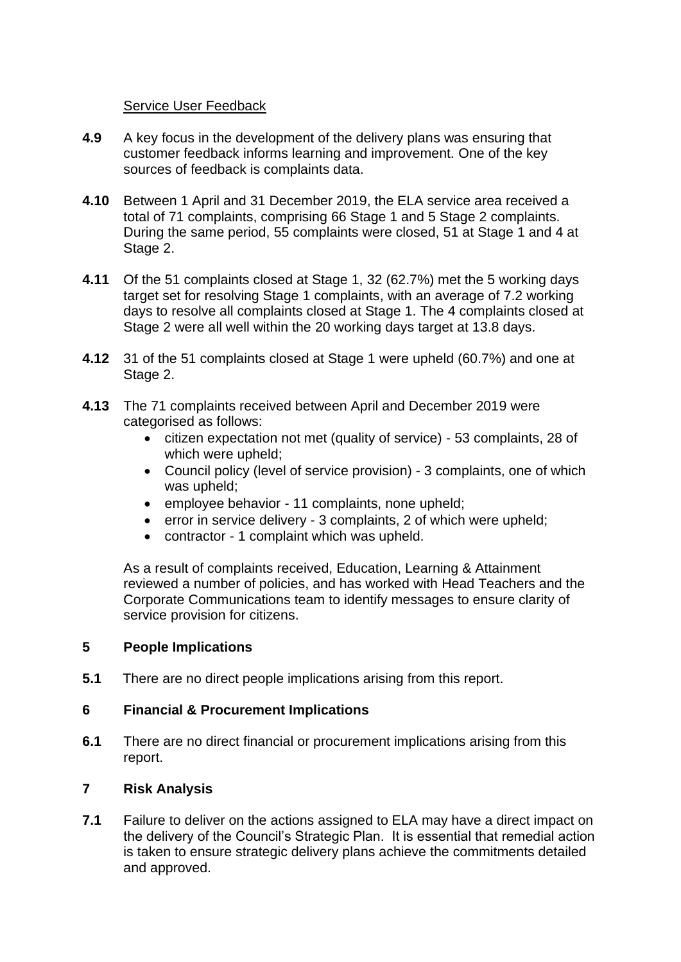### Service User Feedback

- **4.9** A key focus in the development of the delivery plans was ensuring that customer feedback informs learning and improvement. One of the key sources of feedback is complaints data.
- **4.10** Between 1 April and 31 December 2019, the ELA service area received a total of 71 complaints, comprising 66 Stage 1 and 5 Stage 2 complaints. During the same period, 55 complaints were closed, 51 at Stage 1 and 4 at Stage 2.
- **4.11** Of the 51 complaints closed at Stage 1, 32 (62.7%) met the 5 working days target set for resolving Stage 1 complaints, with an average of 7.2 working days to resolve all complaints closed at Stage 1. The 4 complaints closed at Stage 2 were all well within the 20 working days target at 13.8 days.
- **4.12** 31 of the 51 complaints closed at Stage 1 were upheld (60.7%) and one at Stage 2.
- **4.13** The 71 complaints received between April and December 2019 were categorised as follows:
	- citizen expectation not met (quality of service) 53 complaints, 28 of which were upheld;
	- Council policy (level of service provision) 3 complaints, one of which was upheld;
	- employee behavior 11 complaints, none upheld;
	- error in service delivery 3 complaints, 2 of which were upheld:
	- contractor 1 complaint which was upheld.

As a result of complaints received, Education, Learning & Attainment reviewed a number of policies, and has worked with Head Teachers and the Corporate Communications team to identify messages to ensure clarity of service provision for citizens.

### **5 People Implications**

**5.1** There are no direct people implications arising from this report.

### **6 Financial & Procurement Implications**

**6.1** There are no direct financial or procurement implications arising from this report.

### **7 Risk Analysis**

**7.1** Failure to deliver on the actions assigned to ELA may have a direct impact on the delivery of the Council's Strategic Plan. It is essential that remedial action is taken to ensure strategic delivery plans achieve the commitments detailed and approved.